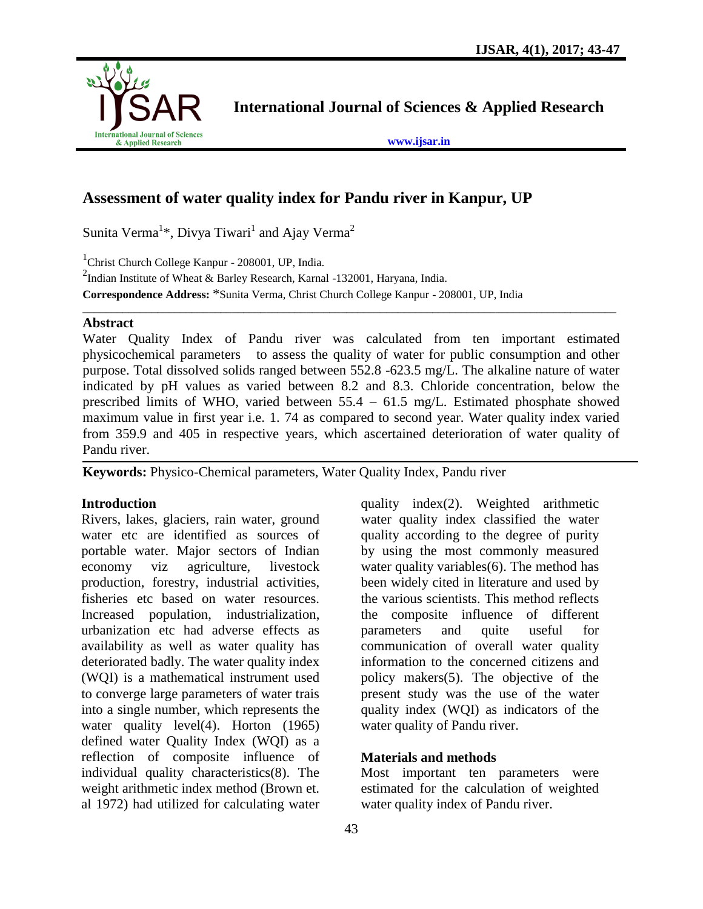

**International Journal of Sciences & Applied Research**

**[www.ijsar.in](http://www.ijsar.in/)**

# **Assessment of water quality index for Pandu river in Kanpur, UP**

Sunita Verma<sup>1\*</sup>, Divya Tiwari<sup>1</sup> and Ajay Verma<sup>2</sup>

<sup>1</sup>Christ Church College Kanpur - 208001, UP, India.

<sup>2</sup>Indian Institute of Wheat & Barley Research, Karnal -132001, Haryana, India. **Correspondence Address:** \*Sunita Verma, Christ Church College Kanpur - 208001, UP, India

#### **Abstract**

Water Quality Index of Pandu river was calculated from ten important estimated physicochemical parameters to assess the quality of water for public consumption and other purpose. Total dissolved solids ranged between 552.8 -623.5 mg/L. The alkaline nature of water indicated by pH values as varied between 8.2 and 8.3. Chloride concentration, below the prescribed limits of WHO, varied between 55.4 – 61.5 mg/L. Estimated phosphate showed maximum value in first year i.e. 1. 74 as compared to second year. Water quality index varied from 359.9 and 405 in respective years, which ascertained deterioration of water quality of Pandu river.

 $\_$  ,  $\_$  ,  $\_$  ,  $\_$  ,  $\_$  ,  $\_$  ,  $\_$  ,  $\_$  ,  $\_$  ,  $\_$  ,  $\_$  ,  $\_$  ,  $\_$  ,  $\_$  ,  $\_$  ,  $\_$  ,  $\_$  ,  $\_$  ,  $\_$  ,  $\_$  ,  $\_$  ,  $\_$  ,  $\_$  ,  $\_$  ,  $\_$  ,  $\_$  ,  $\_$  ,  $\_$  ,  $\_$  ,  $\_$  ,  $\_$  ,  $\_$  ,  $\_$  ,  $\_$  ,  $\_$  ,  $\_$  ,  $\_$  ,

**Keywords:** Physico-Chemical parameters, Water Quality Index, Pandu river

#### **Introduction**

Rivers, lakes, glaciers, rain water, ground water etc are identified as sources of portable water. Major sectors of Indian economy viz agriculture, livestock production, forestry, industrial activities, fisheries etc based on water resources. Increased population, industrialization, urbanization etc had adverse effects as availability as well as water quality has deteriorated badly. The water quality index (WQI) is a mathematical instrument used to converge large parameters of water trais into a single number, which represents the water quality level(4). Horton (1965) defined water Quality Index (WQI) as a reflection of composite influence of individual quality characteristics(8). The weight arithmetic index method (Brown et. al 1972) had utilized for calculating water

quality index(2). Weighted arithmetic water quality index classified the water quality according to the degree of purity by using the most commonly measured water quality variables(6). The method has been widely cited in literature and used by the various scientists. This method reflects the composite influence of different parameters and quite useful for communication of overall water quality information to the concerned citizens and policy makers(5). The objective of the present study was the use of the water quality index (WQI) as indicators of the water quality of Pandu river.

## **Materials and methods**

Most important ten parameters were estimated for the calculation of weighted water quality index of Pandu river.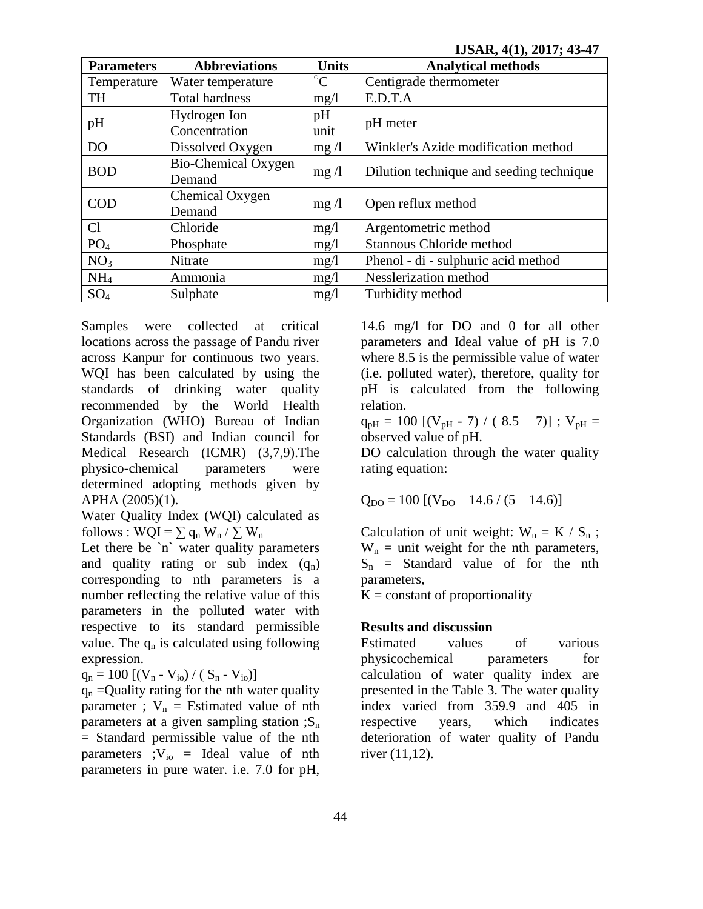**IJSAR, 4(1), 2017; 43-47**

| <b>Parameters</b> | <b>Abbreviations</b>  | <b>Units</b>    | <b>Analytical methods</b>                |  |  |
|-------------------|-----------------------|-----------------|------------------------------------------|--|--|
| Temperature       | Water temperature     | $\rm ^{\circ}C$ | Centigrade thermometer                   |  |  |
| <b>TH</b>         | <b>Total hardness</b> | mg/1            | E.D.T.A                                  |  |  |
| pH                | Hydrogen Ion          | pH              |                                          |  |  |
|                   | Concentration         | unit            | pH meter                                 |  |  |
| DO                | Dissolved Oxygen      | mg/1            | Winkler's Azide modification method      |  |  |
| <b>BOD</b>        | Bio-Chemical Oxygen   |                 | Dilution technique and seeding technique |  |  |
|                   | Demand                | mg/1            |                                          |  |  |
| <b>COD</b>        | Chemical Oxygen       | mg/1            |                                          |  |  |
|                   | Demand                |                 | Open reflux method                       |  |  |
| Cl                | Chloride              | mg/1            | Argentometric method                     |  |  |
| PO <sub>4</sub>   | Phosphate             | mg/1            | Stannous Chloride method                 |  |  |
| NO <sub>3</sub>   | Nitrate               | mg/1            | Phenol - di - sulphuric acid method      |  |  |
| NH <sub>4</sub>   | Ammonia               | mg/1            | Nesslerization method                    |  |  |
| $SO_4$            | Sulphate              | mg/1            | Turbidity method                         |  |  |

Samples were collected at critical locations across the passage of Pandu river across Kanpur for continuous two years. WQI has been calculated by using the standards of drinking water quality recommended by the World Health Organization (WHO) Bureau of Indian Standards (BSI) and Indian council for Medical Research (ICMR) (3,7,9).The physico-chemical parameters were determined adopting methods given by APHA (2005)(1).

Water Quality Index (WQI) calculated as follows : WQI =  $\sum q_n W_n / \sum W_n$ 

Let there be `n` water quality parameters and quality rating or sub index  $(q_n)$ corresponding to nth parameters is a number reflecting the relative value of this parameters in the polluted water with respective to its standard permissible value. The  $q_n$  is calculated using following expression.

 $q_n = 100 [(V_n - V_{io}) / (S_n - V_{io})]$ 

 $q_n$  =Quality rating for the nth water quality parameter ;  $V_n$  = Estimated value of nth parameters at a given sampling station  $;S_n$ = Standard permissible value of the nth parameters ; $V_{io}$  = Ideal value of nth parameters in pure water. i.e. 7.0 for pH,

14.6 mg/l for DO and 0 for all other parameters and Ideal value of pH is 7.0 where 8.5 is the permissible value of water (i.e. polluted water), therefore, quality for pH is calculated from the following relation.

 $q_{pH} = 100$  [(V<sub>pH</sub> - 7) / (8.5 – 7)]; V<sub>pH</sub> = observed value of pH.

DO calculation through the water quality rating equation:

$$
Q_{\rm DO} = 100 [ (V_{\rm DO} - 14.6 / (5 - 14.6) ]
$$

Calculation of unit weight:  $W_n = K / S_n$ ;  $W_n$  = unit weight for the nth parameters,  $S_n$  = Standard value of for the nth parameters,

 $K = constant$  of proportionality

## **Results and discussion**

Estimated values of various physicochemical parameters for calculation of water quality index are presented in the Table 3. The water quality index varied from 359.9 and 405 in respective years, which indicates deterioration of water quality of Pandu river (11,12).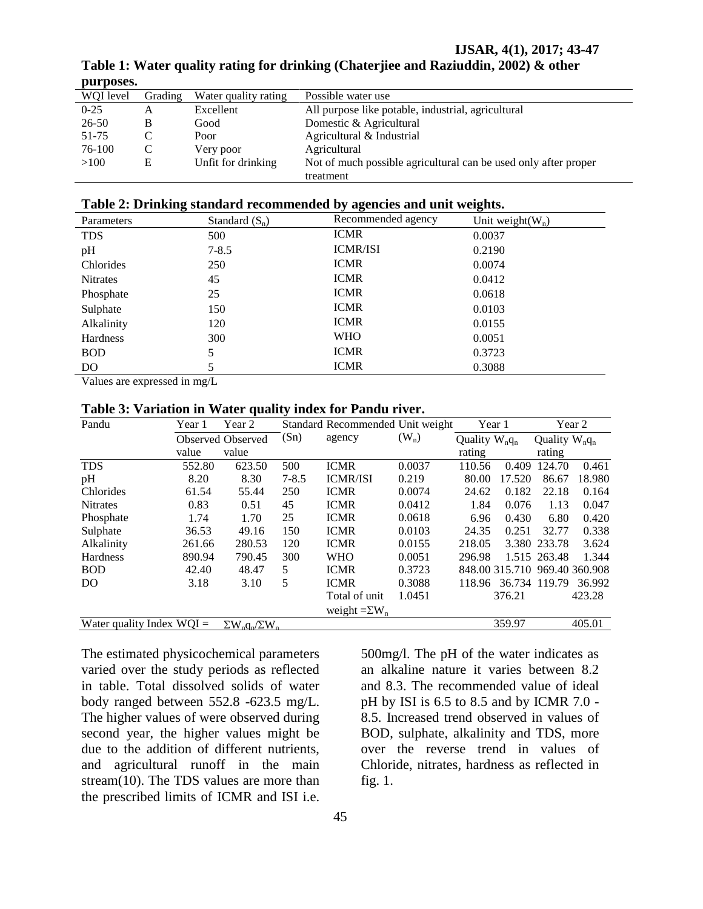| WOI level | Grading | Water quality rating | Possible water use                                              |
|-----------|---------|----------------------|-----------------------------------------------------------------|
| $0 - 25$  | A       | Excellent            | All purpose like potable, industrial, agricultural              |
| 26-50     | B       | Good                 | Domestic & Agricultural                                         |
| 51-75     |         | Poor                 | Agricultural & Industrial                                       |
| 76-100    |         | Very poor            | Agricultural                                                    |
| >100      | Ε       | Unfit for drinking   | Not of much possible agricultural can be used only after proper |
|           |         |                      | treatment                                                       |

**Table 1: Water quality rating for drinking (Chaterjiee and Raziuddin, 2002) & other purposes.**

#### **Table 2: Drinking standard recommended by agencies and unit weights.**

| Parameters      | Standard $(S_n)$ | Recommended agency | Unit weight( $W_n$ ) |
|-----------------|------------------|--------------------|----------------------|
| <b>TDS</b>      | 500              | <b>ICMR</b>        | 0.0037               |
| pH              | $7 - 8.5$        | <b>ICMR/ISI</b>    | 0.2190               |
| Chlorides       | 250              | <b>ICMR</b>        | 0.0074               |
| <b>Nitrates</b> | 45               | <b>ICMR</b>        | 0.0412               |
| Phosphate       | 25               | <b>ICMR</b>        | 0.0618               |
| Sulphate        | 150              | <b>ICMR</b>        | 0.0103               |
| Alkalinity      | 120              | <b>ICMR</b>        | 0.0155               |
| Hardness        | 300              | <b>WHO</b>         | 0.0051               |
| <b>BOD</b>      | 5                | <b>ICMR</b>        | 0.3723               |
| D <sub>O</sub>  |                  | <b>ICMR</b>        | 0.3088               |
| . .<br>$- - -$  | $-$              |                    |                      |

Values are expressed in mg/L

#### **Table 3: Variation in Water quality index for Pandu river.**

| Pandu                                                        | Year 1 | Year 2            | Standard Recommended Unit weight |                      |         | Year 1           |                               | Year 2           |        |
|--------------------------------------------------------------|--------|-------------------|----------------------------------|----------------------|---------|------------------|-------------------------------|------------------|--------|
|                                                              |        | Observed Observed | (Sn)                             | agency               | $(W_n)$ | Quality $W_nq_n$ |                               | Quality $W_nq_n$ |        |
|                                                              | value  | value             |                                  |                      |         | rating           |                               | rating           |        |
| <b>TDS</b>                                                   | 552.80 | 623.50            | 500                              | <b>ICMR</b>          | 0.0037  | 110.56           | 0.409                         | 124.70           | 0.461  |
| pH                                                           | 8.20   | 8.30              | $7 - 8.5$                        | <b>ICMR/ISI</b>      | 0.219   | 80.00            | 17.520                        | 86.67            | 18.980 |
| Chlorides                                                    | 61.54  | 55.44             | 250                              | <b>ICMR</b>          | 0.0074  | 24.62            | 0.182                         | 22.18            | 0.164  |
| <b>Nitrates</b>                                              | 0.83   | 0.51              | 45                               | <b>ICMR</b>          | 0.0412  | 1.84             | 0.076                         | 1.13             | 0.047  |
| Phosphate                                                    | 1.74   | 1.70              | 25                               | <b>ICMR</b>          | 0.0618  | 6.96             | 0.430                         | 6.80             | 0.420  |
| Sulphate                                                     | 36.53  | 49.16             | 150                              | <b>ICMR</b>          | 0.0103  | 24.35            | 0.251                         | 32.77            | 0.338  |
| Alkalinity                                                   | 261.66 | 280.53            | 120                              | <b>ICMR</b>          | 0.0155  | 218.05           |                               | 3.380 233.78     | 3.624  |
| Hardness                                                     | 890.94 | 790.45            | 300                              | <b>WHO</b>           | 0.0051  | 296.98           |                               | 1.515 263.48     | 1.344  |
| <b>BOD</b>                                                   | 42.40  | 48.47             | 5                                | <b>ICMR</b>          | 0.3723  |                  | 848.00 315.710 969.40 360.908 |                  |        |
| DO.                                                          | 3.18   | 3.10              | 5                                | <b>ICMR</b>          | 0.3088  | 118.96           |                               | 36.734 119.79    | 36.992 |
|                                                              |        |                   |                                  | Total of unit        | 1.0451  |                  | 376.21                        |                  | 423.28 |
|                                                              |        |                   |                                  | weight $=\Sigma W_n$ |         |                  |                               |                  |        |
| Water quality Index $WOI =$<br>$\Sigma W_n q_n / \Sigma W_n$ |        |                   |                                  |                      |         | 359.97           |                               | 405.01           |        |

The estimated physicochemical parameters varied over the study periods as reflected in table. Total dissolved solids of water body ranged between 552.8 -623.5 mg/L. The higher values of were observed during second year, the higher values might be due to the addition of different nutrients, and agricultural runoff in the main stream(10). The TDS values are more than the prescribed limits of ICMR and ISI i.e.

500mg/l. The pH of the water indicates as an alkaline nature it varies between 8.2 and 8.3. The recommended value of ideal pH by ISI is 6.5 to 8.5 and by ICMR 7.0 - 8.5. Increased trend observed in values of BOD, sulphate, alkalinity and TDS, more over the reverse trend in values of Chloride, nitrates, hardness as reflected in fig. 1.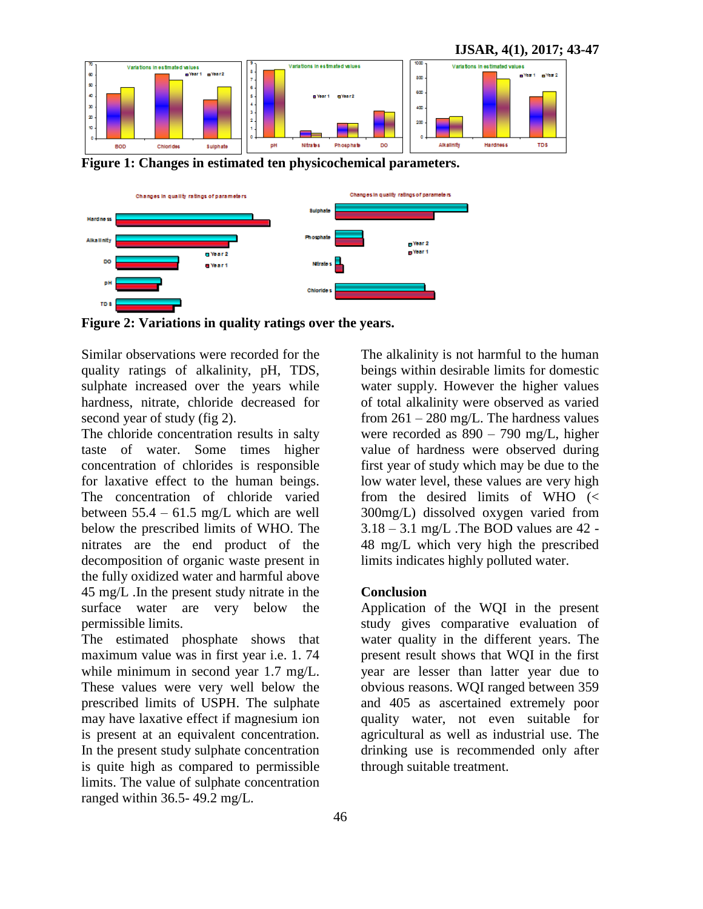

**Figure 1: Changes in estimated ten physicochemical parameters.**



**Figure 2: Variations in quality ratings over the years.**

Similar observations were recorded for the quality ratings of alkalinity, pH, TDS, sulphate increased over the years while hardness, nitrate, chloride decreased for second year of study (fig 2).

The chloride concentration results in salty taste of water. Some times higher concentration of chlorides is responsible for laxative effect to the human beings. The concentration of chloride varied between  $55.4 - 61.5$  mg/L which are well below the prescribed limits of WHO. The nitrates are the end product of the decomposition of organic waste present in the fully oxidized water and harmful above 45 mg/L .In the present study nitrate in the surface water are very below the permissible limits.

The estimated phosphate shows that maximum value was in first year i.e. 1. 74 while minimum in second year 1.7 mg/L. These values were very well below the prescribed limits of USPH. The sulphate may have laxative effect if magnesium ion is present at an equivalent concentration. In the present study sulphate concentration is quite high as compared to permissible limits. The value of sulphate concentration ranged within 36.5- 49.2 mg/L.

The alkalinity is not harmful to the human beings within desirable limits for domestic water supply. However the higher values of total alkalinity were observed as varied from  $261 - 280$  mg/L. The hardness values were recorded as 890 – 790 mg/L, higher value of hardness were observed during first year of study which may be due to the low water level, these values are very high from the desired limits of WHO (< 300mg/L) dissolved oxygen varied from  $3.18 - 3.1$  mg/L. The BOD values are 42 -48 mg/L which very high the prescribed limits indicates highly polluted water.

#### **Conclusion**

Application of the WQI in the present study gives comparative evaluation of water quality in the different years. The present result shows that WQI in the first year are lesser than latter year due to obvious reasons. WQI ranged between 359 and 405 as ascertained extremely poor quality water, not even suitable for agricultural as well as industrial use. The drinking use is recommended only after through suitable treatment.